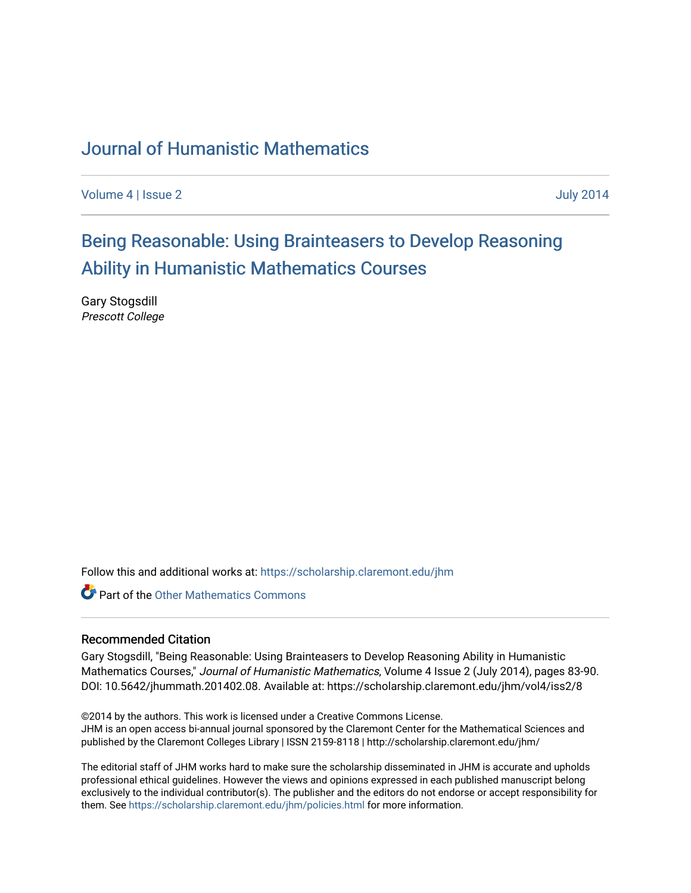### [Journal of Humanistic Mathematics](https://scholarship.claremont.edu/jhm)

[Volume 4](https://scholarship.claremont.edu/jhm/vol4) | [Issue 2](https://scholarship.claremont.edu/jhm/vol4/iss2) July 2014

# [Being Reasonable: Using Brainteasers to Develop Reasoning](https://scholarship.claremont.edu/jhm/vol4/iss2/8)  [Ability in Humanistic Mathematics Courses](https://scholarship.claremont.edu/jhm/vol4/iss2/8)

Gary Stogsdill Prescott College

Follow this and additional works at: [https://scholarship.claremont.edu/jhm](https://scholarship.claremont.edu/jhm?utm_source=scholarship.claremont.edu%2Fjhm%2Fvol4%2Fiss2%2F8&utm_medium=PDF&utm_campaign=PDFCoverPages)

**Part of the [Other Mathematics Commons](http://network.bepress.com/hgg/discipline/185?utm_source=scholarship.claremont.edu%2Fjhm%2Fvol4%2Fiss2%2F8&utm_medium=PDF&utm_campaign=PDFCoverPages)** 

### Recommended Citation

Gary Stogsdill, "Being Reasonable: Using Brainteasers to Develop Reasoning Ability in Humanistic Mathematics Courses," Journal of Humanistic Mathematics, Volume 4 Issue 2 (July 2014), pages 83-90. DOI: 10.5642/jhummath.201402.08. Available at: https://scholarship.claremont.edu/jhm/vol4/iss2/8

©2014 by the authors. This work is licensed under a Creative Commons License. JHM is an open access bi-annual journal sponsored by the Claremont Center for the Mathematical Sciences and published by the Claremont Colleges Library | ISSN 2159-8118 | http://scholarship.claremont.edu/jhm/

The editorial staff of JHM works hard to make sure the scholarship disseminated in JHM is accurate and upholds professional ethical guidelines. However the views and opinions expressed in each published manuscript belong exclusively to the individual contributor(s). The publisher and the editors do not endorse or accept responsibility for them. See<https://scholarship.claremont.edu/jhm/policies.html> for more information.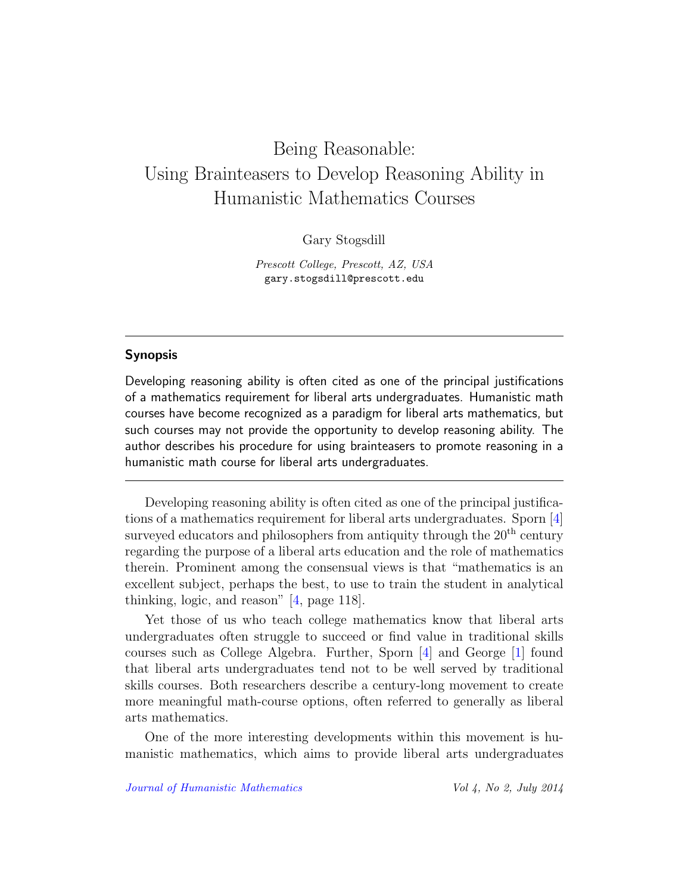# Being Reasonable: Using Brainteasers to Develop Reasoning Ability in Humanistic Mathematics Courses

Gary Stogsdill

Prescott College, Prescott, AZ, USA gary.stogsdill@prescott.edu

### Synopsis

Developing reasoning ability is often cited as one of the principal justifications of a mathematics requirement for liberal arts undergraduates. Humanistic math courses have become recognized as a paradigm for liberal arts mathematics, but such courses may not provide the opportunity to develop reasoning ability. The author describes his procedure for using brainteasers to promote reasoning in a humanistic math course for liberal arts undergraduates.

Developing reasoning ability is often cited as one of the principal justifications of a mathematics requirement for liberal arts undergraduates. Sporn [\[4\]](#page-7-0) surveyed educators and philosophers from antiquity through the  $20<sup>th</sup>$  century regarding the purpose of a liberal arts education and the role of mathematics therein. Prominent among the consensual views is that "mathematics is an excellent subject, perhaps the best, to use to train the student in analytical thinking, logic, and reason" [\[4,](#page-7-0) page 118].

Yet those of us who teach college mathematics know that liberal arts undergraduates often struggle to succeed or find value in traditional skills courses such as College Algebra. Further, Sporn [\[4\]](#page-7-0) and George [\[1\]](#page-7-1) found that liberal arts undergraduates tend not to be well served by traditional skills courses. Both researchers describe a century-long movement to create more meaningful math-course options, often referred to generally as liberal arts mathematics.

One of the more interesting developments within this movement is humanistic mathematics, which aims to provide liberal arts undergraduates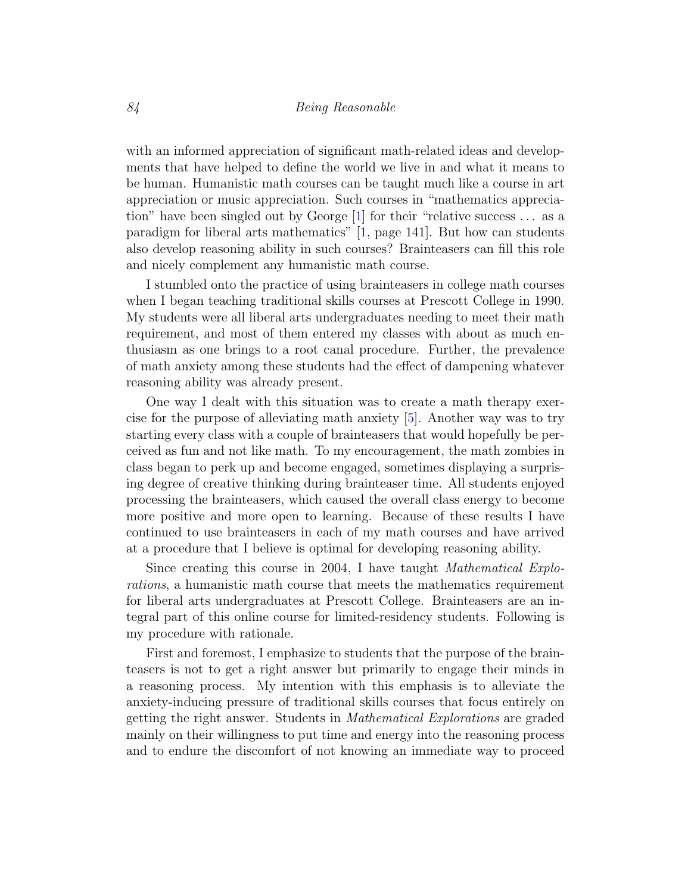#### 84 Being Reasonable

with an informed appreciation of significant math-related ideas and developments that have helped to define the world we live in and what it means to be human. Humanistic math courses can be taught much like a course in art appreciation or music appreciation. Such courses in "mathematics appreciation" have been singled out by George [\[1\]](#page-7-1) for their "relative success . . . as a paradigm for liberal arts mathematics" [\[1,](#page-7-1) page 141]. But how can students also develop reasoning ability in such courses? Brainteasers can fill this role and nicely complement any humanistic math course.

I stumbled onto the practice of using brainteasers in college math courses when I began teaching traditional skills courses at Prescott College in 1990. My students were all liberal arts undergraduates needing to meet their math requirement, and most of them entered my classes with about as much enthusiasm as one brings to a root canal procedure. Further, the prevalence of math anxiety among these students had the effect of dampening whatever reasoning ability was already present.

One way I dealt with this situation was to create a math therapy exercise for the purpose of alleviating math anxiety [\[5\]](#page-7-2). Another way was to try starting every class with a couple of brainteasers that would hopefully be perceived as fun and not like math. To my encouragement, the math zombies in class began to perk up and become engaged, sometimes displaying a surprising degree of creative thinking during brainteaser time. All students enjoyed processing the brainteasers, which caused the overall class energy to become more positive and more open to learning. Because of these results I have continued to use brainteasers in each of my math courses and have arrived at a procedure that I believe is optimal for developing reasoning ability.

Since creating this course in 2004, I have taught Mathematical Explorations, a humanistic math course that meets the mathematics requirement for liberal arts undergraduates at Prescott College. Brainteasers are an integral part of this online course for limited-residency students. Following is my procedure with rationale.

First and foremost, I emphasize to students that the purpose of the brainteasers is not to get a right answer but primarily to engage their minds in a reasoning process. My intention with this emphasis is to alleviate the anxiety-inducing pressure of traditional skills courses that focus entirely on getting the right answer. Students in Mathematical Explorations are graded mainly on their willingness to put time and energy into the reasoning process and to endure the discomfort of not knowing an immediate way to proceed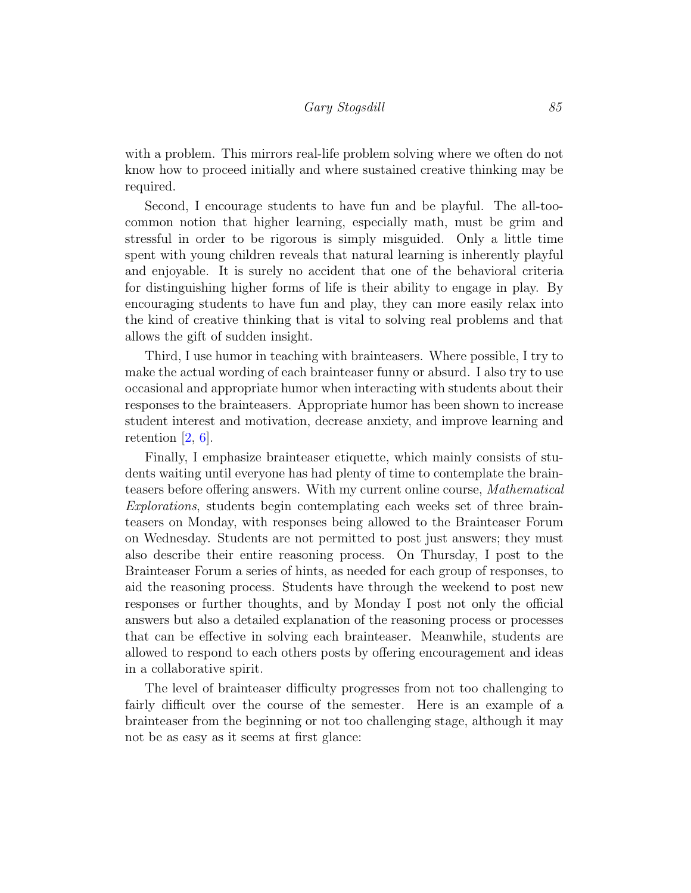with a problem. This mirrors real-life problem solving where we often do not know how to proceed initially and where sustained creative thinking may be required.

Second, I encourage students to have fun and be playful. The all-toocommon notion that higher learning, especially math, must be grim and stressful in order to be rigorous is simply misguided. Only a little time spent with young children reveals that natural learning is inherently playful and enjoyable. It is surely no accident that one of the behavioral criteria for distinguishing higher forms of life is their ability to engage in play. By encouraging students to have fun and play, they can more easily relax into the kind of creative thinking that is vital to solving real problems and that allows the gift of sudden insight.

Third, I use humor in teaching with brainteasers. Where possible, I try to make the actual wording of each brainteaser funny or absurd. I also try to use occasional and appropriate humor when interacting with students about their responses to the brainteasers. Appropriate humor has been shown to increase student interest and motivation, decrease anxiety, and improve learning and retention [\[2,](#page-7-3) [6\]](#page-8-0).

Finally, I emphasize brainteaser etiquette, which mainly consists of students waiting until everyone has had plenty of time to contemplate the brainteasers before offering answers. With my current online course, Mathematical Explorations, students begin contemplating each weeks set of three brainteasers on Monday, with responses being allowed to the Brainteaser Forum on Wednesday. Students are not permitted to post just answers; they must also describe their entire reasoning process. On Thursday, I post to the Brainteaser Forum a series of hints, as needed for each group of responses, to aid the reasoning process. Students have through the weekend to post new responses or further thoughts, and by Monday I post not only the official answers but also a detailed explanation of the reasoning process or processes that can be effective in solving each brainteaser. Meanwhile, students are allowed to respond to each others posts by offering encouragement and ideas in a collaborative spirit.

The level of brainteaser difficulty progresses from not too challenging to fairly difficult over the course of the semester. Here is an example of a brainteaser from the beginning or not too challenging stage, although it may not be as easy as it seems at first glance: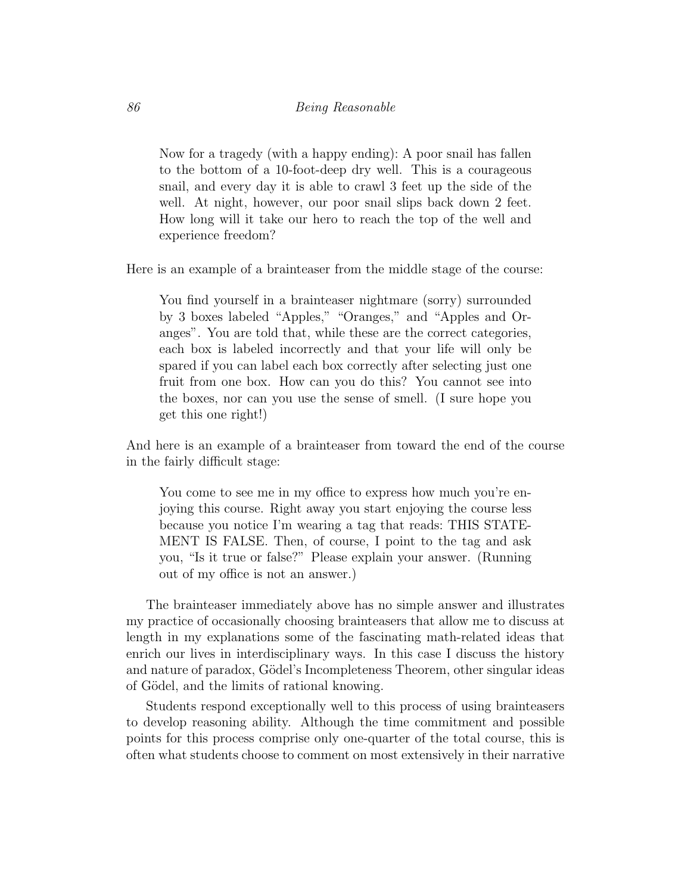Now for a tragedy (with a happy ending): A poor snail has fallen to the bottom of a 10-foot-deep dry well. This is a courageous snail, and every day it is able to crawl 3 feet up the side of the well. At night, however, our poor snail slips back down 2 feet. How long will it take our hero to reach the top of the well and experience freedom?

Here is an example of a brainteaser from the middle stage of the course:

You find yourself in a brainteaser nightmare (sorry) surrounded by 3 boxes labeled "Apples," "Oranges," and "Apples and Oranges". You are told that, while these are the correct categories, each box is labeled incorrectly and that your life will only be spared if you can label each box correctly after selecting just one fruit from one box. How can you do this? You cannot see into the boxes, nor can you use the sense of smell. (I sure hope you get this one right!)

And here is an example of a brainteaser from toward the end of the course in the fairly difficult stage:

You come to see me in my office to express how much you're enjoying this course. Right away you start enjoying the course less because you notice I'm wearing a tag that reads: THIS STATE-MENT IS FALSE. Then, of course, I point to the tag and ask you, "Is it true or false?" Please explain your answer. (Running out of my office is not an answer.)

The brainteaser immediately above has no simple answer and illustrates my practice of occasionally choosing brainteasers that allow me to discuss at length in my explanations some of the fascinating math-related ideas that enrich our lives in interdisciplinary ways. In this case I discuss the history and nature of paradox, Gödel's Incompleteness Theorem, other singular ideas of Gödel, and the limits of rational knowing.

Students respond exceptionally well to this process of using brainteasers to develop reasoning ability. Although the time commitment and possible points for this process comprise only one-quarter of the total course, this is often what students choose to comment on most extensively in their narrative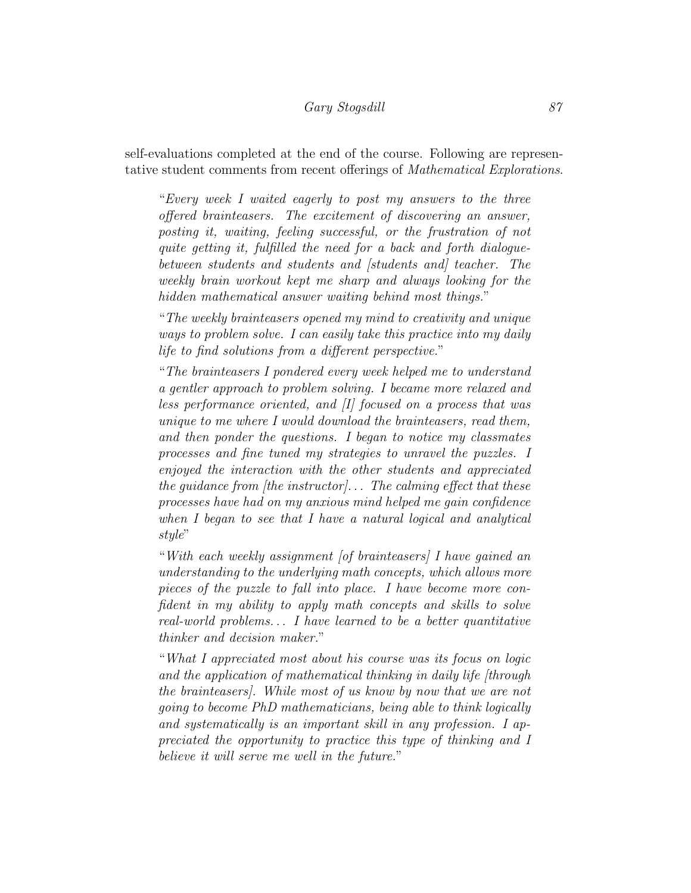### Gary Stogsdill 87

self-evaluations completed at the end of the course. Following are representative student comments from recent offerings of Mathematical Explorations.

"Every week I waited eagerly to post my answers to the three offered brainteasers. The excitement of discovering an answer, posting it, waiting, feeling successful, or the frustration of not quite getting it, fulfilled the need for a back and forth dialoguebetween students and students and [students and] teacher. The weekly brain workout kept me sharp and always looking for the hidden mathematical answer waiting behind most things."

"The weekly brainteasers opened my mind to creativity and unique ways to problem solve. I can easily take this practice into my daily life to find solutions from a different perspective."

"The brainteasers I pondered every week helped me to understand a gentler approach to problem solving. I became more relaxed and less performance oriented, and [I] focused on a process that was unique to me where I would download the brainteasers, read them, and then ponder the questions. I began to notice my classmates processes and fine tuned my strategies to unravel the puzzles. I enjoyed the interaction with the other students and appreciated the quidance from [the instructor]... The calming effect that these processes have had on my anxious mind helped me gain confidence when I began to see that I have a natural logical and analytical style"

"With each weekly assignment [of brainteasers] I have gained an understanding to the underlying math concepts, which allows more pieces of the puzzle to fall into place. I have become more confident in my ability to apply math concepts and skills to solve real-world problems. . . I have learned to be a better quantitative thinker and decision maker."

"What I appreciated most about his course was its focus on logic and the application of mathematical thinking in daily life [through the brainteasers]. While most of us know by now that we are not going to become PhD mathematicians, being able to think logically and systematically is an important skill in any profession. I appreciated the opportunity to practice this type of thinking and I believe it will serve me well in the future."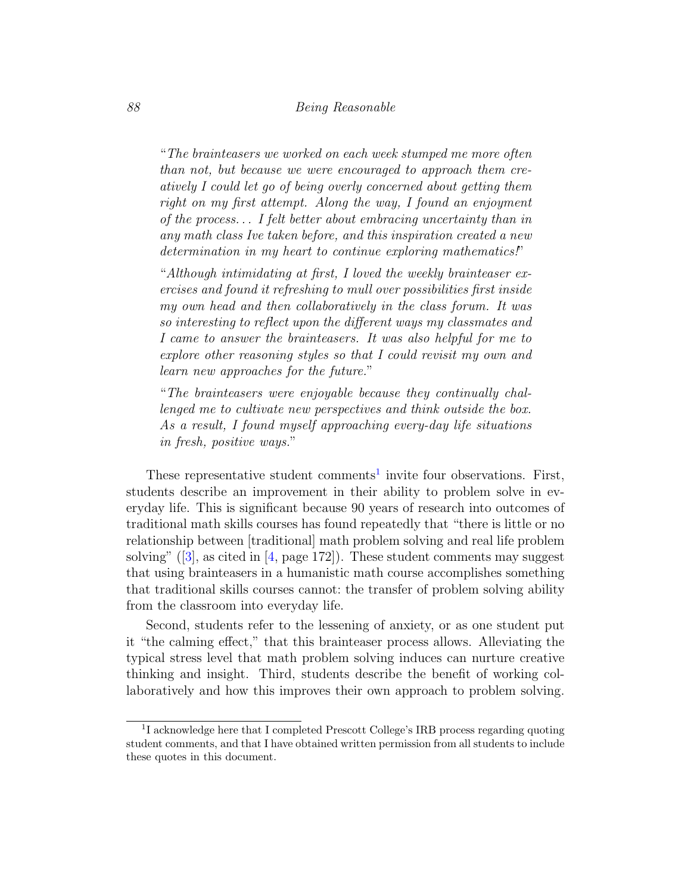"The brainteasers we worked on each week stumped me more often than not, but because we were encouraged to approach them creatively I could let go of being overly concerned about getting them right on my first attempt. Along the way, I found an enjoyment of the process. . . I felt better about embracing uncertainty than in any math class Ive taken before, and this inspiration created a new determination in my heart to continue exploring mathematics!"

"Although intimidating at first, I loved the weekly brainteaser exercises and found it refreshing to mull over possibilities first inside my own head and then collaboratively in the class forum. It was so interesting to reflect upon the different ways my classmates and I came to answer the brainteasers. It was also helpful for me to explore other reasoning styles so that I could revisit my own and learn new approaches for the future."

"The brainteasers were enjoyable because they continually challenged me to cultivate new perspectives and think outside the box. As a result, I found myself approaching every-day life situations in fresh, positive ways."

These representative student comments<sup>[1](#page-6-0)</sup> invite four observations. First, students describe an improvement in their ability to problem solve in everyday life. This is significant because 90 years of research into outcomes of traditional math skills courses has found repeatedly that "there is little or no relationship between [traditional] math problem solving and real life problem solving" ([\[3\]](#page-7-4), as cited in [\[4,](#page-7-0) page 172]). These student comments may suggest that using brainteasers in a humanistic math course accomplishes something that traditional skills courses cannot: the transfer of problem solving ability from the classroom into everyday life.

Second, students refer to the lessening of anxiety, or as one student put it "the calming effect," that this brainteaser process allows. Alleviating the typical stress level that math problem solving induces can nurture creative thinking and insight. Third, students describe the benefit of working collaboratively and how this improves their own approach to problem solving.

<span id="page-6-0"></span><sup>&</sup>lt;sup>1</sup>I acknowledge here that I completed Prescott College's IRB process regarding quoting student comments, and that I have obtained written permission from all students to include these quotes in this document.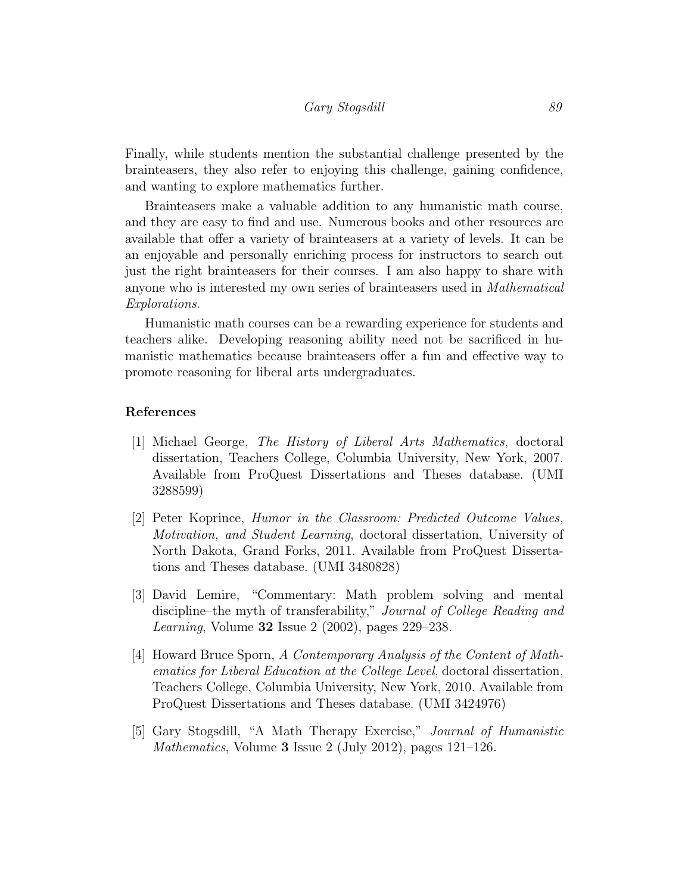Finally, while students mention the substantial challenge presented by the brainteasers, they also refer to enjoying this challenge, gaining confidence, and wanting to explore mathematics further.

Brainteasers make a valuable addition to any humanistic math course, and they are easy to find and use. Numerous books and other resources are available that offer a variety of brainteasers at a variety of levels. It can be an enjoyable and personally enriching process for instructors to search out just the right brainteasers for their courses. I am also happy to share with anyone who is interested my own series of brainteasers used in Mathematical Explorations.

Humanistic math courses can be a rewarding experience for students and teachers alike. Developing reasoning ability need not be sacrificed in humanistic mathematics because brainteasers offer a fun and effective way to promote reasoning for liberal arts undergraduates.

#### References

- <span id="page-7-1"></span>[1] Michael George, The History of Liberal Arts Mathematics, doctoral dissertation, Teachers College, Columbia University, New York, 2007. Available from ProQuest Dissertations and Theses database. (UMI 3288599)
- <span id="page-7-3"></span>[2] Peter Koprince, Humor in the Classroom: Predicted Outcome Values, Motivation, and Student Learning, doctoral dissertation, University of North Dakota, Grand Forks, 2011. Available from ProQuest Dissertations and Theses database. (UMI 3480828)
- <span id="page-7-4"></span>[3] David Lemire, "Commentary: Math problem solving and mental discipline–the myth of transferability," Journal of College Reading and Learning, Volume 32 Issue 2 (2002), pages 229–238.
- <span id="page-7-0"></span>[4] Howard Bruce Sporn, A Contemporary Analysis of the Content of Mathematics for Liberal Education at the College Level, doctoral dissertation, Teachers College, Columbia University, New York, 2010. Available from ProQuest Dissertations and Theses database. (UMI 3424976)
- <span id="page-7-2"></span>[5] Gary Stogsdill, "A Math Therapy Exercise," Journal of Humanistic Mathematics, Volume 3 Issue 2 (July 2012), pages 121–126.